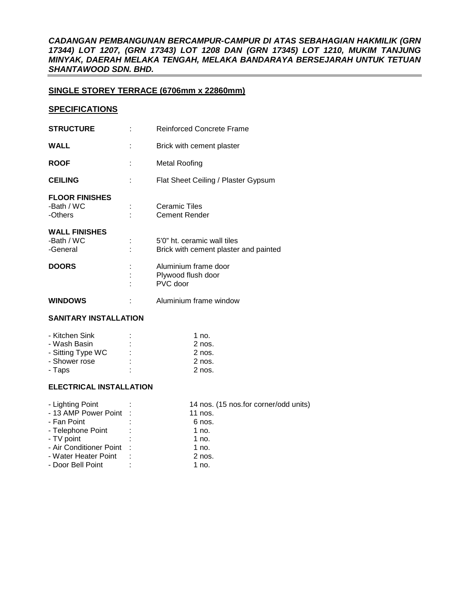*CADANGAN PEMBANGUNAN BERCAMPUR-CAMPUR DI ATAS SEBAHAGIAN HAKMILIK (GRN 17344) LOT 1207, (GRN 17343) LOT 1208 DAN (GRN 17345) LOT 1210, MUKIM TANJUNG MINYAK, DAERAH MELAKA TENGAH, MELAKA BANDARAYA BERSEJARAH UNTUK TETUAN SHANTAWOOD SDN. BHD.* 

# **SINGLE STOREY TERRACE (6706mm x 22860mm)**

## **SPECIFICATIONS**

| <b>STRUCTURE</b>                               | <b>Reinforced Concrete Frame</b>                                     |
|------------------------------------------------|----------------------------------------------------------------------|
| <b>WALL</b>                                    | Brick with cement plaster                                            |
| <b>ROOF</b>                                    | Metal Roofing                                                        |
| <b>CEILING</b>                                 | Flat Sheet Ceiling / Plaster Gypsum                                  |
| <b>FLOOR FINISHES</b><br>-Bath / WC<br>-Others | Ceramic Tiles<br><b>Cement Render</b>                                |
| <b>WALL FINISHES</b><br>-Bath / WC<br>-General | 5'0" ht. ceramic wall tiles<br>Brick with cement plaster and painted |
| <b>DOORS</b>                                   | Aluminium frame door<br>Plywood flush door<br>PVC door               |
| <b>WINDOWS</b>                                 | Aluminium frame window                                               |

### **SANITARY INSTALLATION**

| - Kitchen Sink    | ٠ | 1 $no.$  |
|-------------------|---|----------|
| - Wash Basin      | ٠ | $2$ nos. |
| - Sitting Type WC | ٠ | $2$ nos. |
| - Shower rose     | ٠ | $2$ nos. |
| - Taps            | ٠ | $2$ nos. |

# **ELECTRICAL INSTALLATION**

| - Lighting Point          |            | 14 nos. (15 nos.for corner/odd units) |
|---------------------------|------------|---------------------------------------|
| - 13 AMP Power Point :    |            | 11 nos.                               |
| - Fan Point               |            | 6 nos.                                |
| - Telephone Point         | $\sim 100$ | 1 no.                                 |
| - TV point                |            | 1 no.                                 |
| - Air Conditioner Point : |            | 1 no.                                 |
| - Water Heater Point      | ÷          | $2$ nos.                              |
| - Door Bell Point         | ٠          | 1 no.                                 |